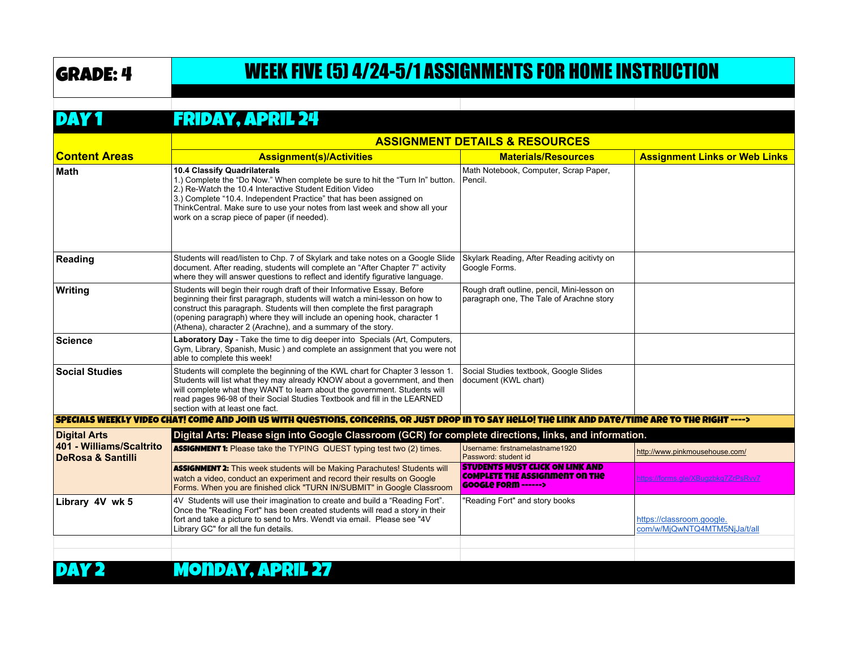## GRADE: 4 WEEK FIVE (5) 4/24-5/1 ASSIGNMENTS FOR HOME INSTRUCTION

## DAY 1 FRIDAY, APRIL 24

|                                                          | <b>ASSIGNMENT DETAILS &amp; RESOURCES</b>                                                                                                                                                                                                                                                                                                                                         |                                                                                                           |                                                           |
|----------------------------------------------------------|-----------------------------------------------------------------------------------------------------------------------------------------------------------------------------------------------------------------------------------------------------------------------------------------------------------------------------------------------------------------------------------|-----------------------------------------------------------------------------------------------------------|-----------------------------------------------------------|
| <b>Content Areas</b>                                     | <b>Assignment(s)/Activities</b>                                                                                                                                                                                                                                                                                                                                                   | <b>Materials/Resources</b>                                                                                | <b>Assignment Links or Web Links</b>                      |
| Math                                                     | 10.4 Classify Quadrilaterals<br>1.) Complete the "Do Now." When complete be sure to hit the "Turn In" button.<br>2.) Re-Watch the 10.4 Interactive Student Edition Video<br>3.) Complete "10.4. Independent Practice" that has been assigned on<br>ThinkCentral. Make sure to use your notes from last week and show all your<br>work on a scrap piece of paper (if needed).      | Math Notebook, Computer, Scrap Paper,<br>Pencil.                                                          |                                                           |
| Reading                                                  | Students will read/listen to Chp. 7 of Skylark and take notes on a Google Slide<br>document. After reading, students will complete an "After Chapter 7" activity<br>where they will answer questions to reflect and identify figurative language.                                                                                                                                 | Skylark Reading, After Reading acitivty on<br>Google Forms.                                               |                                                           |
| Writing                                                  | Students will begin their rough draft of their Informative Essay. Before<br>beginning their first paragraph, students will watch a mini-lesson on how to<br>construct this paragraph. Students will then complete the first paragraph<br>(opening paragraph) where they will include an opening hook, character 1<br>(Athena), character 2 (Arachne), and a summary of the story. | Rough draft outline, pencil, Mini-lesson on<br>paragraph one, The Tale of Arachne story                   |                                                           |
| Science                                                  | Laboratory Day - Take the time to dig deeper into Specials (Art, Computers,<br>Gym, Library, Spanish, Music) and complete an assignment that you were not<br>able to complete this week!                                                                                                                                                                                          |                                                                                                           |                                                           |
| <b>Social Studies</b>                                    | Students will complete the beginning of the KWL chart for Chapter 3 lesson 1.<br>Students will list what they may already KNOW about a government, and then<br>will complete what they WANT to learn about the government. Students will<br>read pages 96-98 of their Social Studies Textbook and fill in the LEARNED<br>section with at least one fact.                          | Social Studies textbook, Google Slides<br>document (KWL chart)                                            |                                                           |
|                                                          | SPECIALS WEEKLY VIDEO CHAT! COME AND JOIN US WITH QUESTIONS, CONCERNS, OR JUST DROP IN TO SAY HELLO! THE LINK AND DATE/TIME ARE TO THE RIGHT ---->                                                                                                                                                                                                                                |                                                                                                           |                                                           |
| <b>Digital Arts</b>                                      | Digital Arts: Please sign into Google Classroom (GCR) for complete directions, links, and information.                                                                                                                                                                                                                                                                            |                                                                                                           |                                                           |
| 401 - Williams/Scaltrito<br><b>DeRosa &amp; Santilli</b> | <b>ASSIGNMENT 1:</b> Please take the TYPING QUEST typing test two (2) times.                                                                                                                                                                                                                                                                                                      | Username: firstnamelastname1920<br>Password: student id                                                   | http://www.pinkmousehouse.com/                            |
|                                                          | <b>ASSIGNMENT 2:</b> This week students will be Making Parachutes! Students will<br>watch a video, conduct an experiment and record their results on Google<br>Forms. When you are finished click "TURN IN/SUBMIT" in Google Classroom                                                                                                                                            | <b>STUDENTS MUST CLICK ON LINK AND</b><br>COMPLETE THE ASSIGNMENT ON THE<br><b>GOOGLE FORM ------&gt;</b> | https://forms.gle/XBugzbkg7ZrPsRw7                        |
| Library 4V wk 5                                          | 4V Students will use their imagination to create and build a "Reading Fort".<br>Once the "Reading Fort" has been created students will read a story in their<br>fort and take a picture to send to Mrs. Wendt via email. Please see "4V<br>Library GC" for all the fun details.                                                                                                   | "Reading Fort" and story books                                                                            | https://classroom.google.<br>com/w/MjQwNTQ4MTM5NjJa/t/all |
|                                                          |                                                                                                                                                                                                                                                                                                                                                                                   |                                                                                                           |                                                           |
|                                                          | MONDAY, APRIL 27                                                                                                                                                                                                                                                                                                                                                                  |                                                                                                           |                                                           |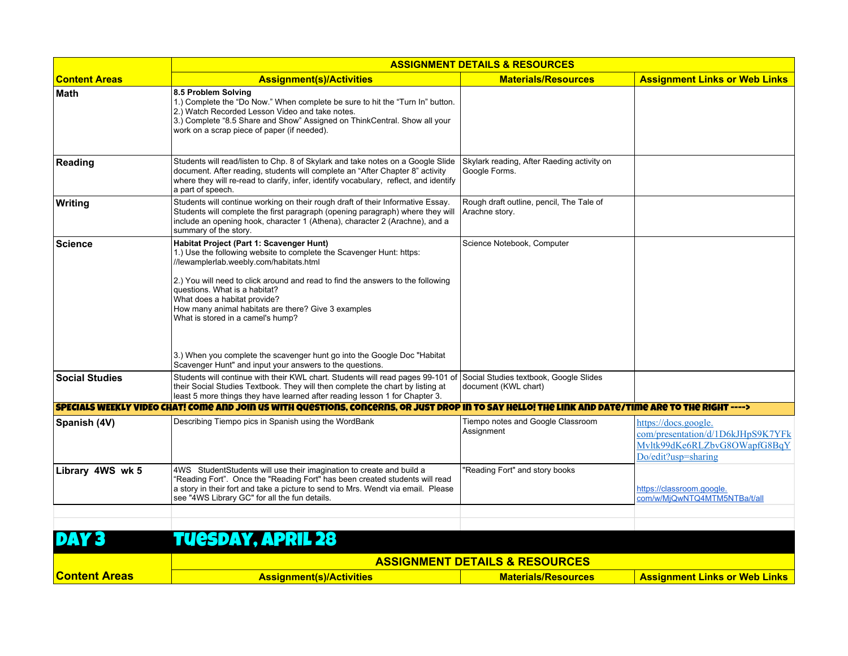|                       | <b>ASSIGNMENT DETAILS &amp; RESOURCES</b>                                                                                                                                                                                                                                                                                                                                                                                                                                                                                                            |                                                                |                                                                                                                  |
|-----------------------|------------------------------------------------------------------------------------------------------------------------------------------------------------------------------------------------------------------------------------------------------------------------------------------------------------------------------------------------------------------------------------------------------------------------------------------------------------------------------------------------------------------------------------------------------|----------------------------------------------------------------|------------------------------------------------------------------------------------------------------------------|
| <b>Content Areas</b>  | <b>Assignment(s)/Activities</b>                                                                                                                                                                                                                                                                                                                                                                                                                                                                                                                      | <b>Materials/Resources</b>                                     | <b>Assignment Links or Web Links</b>                                                                             |
| Math                  | 8.5 Problem Solving<br>1.) Complete the "Do Now." When complete be sure to hit the "Turn In" button.<br>2.) Watch Recorded Lesson Video and take notes.<br>3.) Complete "8.5 Share and Show" Assigned on ThinkCentral. Show all your<br>work on a scrap piece of paper (if needed).                                                                                                                                                                                                                                                                  |                                                                |                                                                                                                  |
| Reading               | Students will read/listen to Chp. 8 of Skylark and take notes on a Google Slide<br>document. After reading, students will complete an "After Chapter 8" activity<br>where they will re-read to clarify, infer, identify vocabulary, reflect, and identify<br>a part of speech.                                                                                                                                                                                                                                                                       | Skylark reading, After Raeding activity on<br>Google Forms.    |                                                                                                                  |
| <b>Writing</b>        | Students will continue working on their rough draft of their Informative Essay.<br>Students will complete the first paragraph (opening paragraph) where they will<br>include an opening hook, character 1 (Athena), character 2 (Arachne), and a<br>summary of the story.                                                                                                                                                                                                                                                                            | Rough draft outline, pencil, The Tale of<br>Arachne story.     |                                                                                                                  |
| <b>Science</b>        | Habitat Project (Part 1: Scavenger Hunt)<br>1.) Use the following website to complete the Scavenger Hunt: https:<br>//lewamplerlab.weebly.com/habitats.html<br>2.) You will need to click around and read to find the answers to the following<br>questions. What is a habitat?<br>What does a habitat provide?<br>How many animal habitats are there? Give 3 examples<br>What is stored in a camel's hump?<br>3.) When you complete the scavenger hunt go into the Google Doc "Habitat"<br>Scavenger Hunt" and input your answers to the questions. | Science Notebook, Computer                                     |                                                                                                                  |
| <b>Social Studies</b> | Students will continue with their KWL chart. Students will read pages 99-101 of<br>their Social Studies Textbook. They will then complete the chart by listing at<br>least 5 more things they have learned after reading lesson 1 for Chapter 3.                                                                                                                                                                                                                                                                                                     | Social Studies textbook, Google Slides<br>document (KWL chart) |                                                                                                                  |
|                       | SPECIALS WEEKLY VIDEO CHAT! COME AND JOIN US WITH QUESTIONS, CONCERNS, OR JUST DROP IN TO SAY HELLO! THE LINK AND DATE/TIME ARE TO THE RIGHT ---->                                                                                                                                                                                                                                                                                                                                                                                                   |                                                                |                                                                                                                  |
| Spanish (4V)          | Describing Tiempo pics in Spanish using the WordBank                                                                                                                                                                                                                                                                                                                                                                                                                                                                                                 | Tiempo notes and Google Classroom<br>Assignment                | https://docs.google.<br>com/presentation/d/1D6kJHpS9K7YFk<br>Mvltk99dKe6RLZbvG8OWapfG8BqY<br>Do/edit?usp=sharing |
| Library 4WS wk 5      | 4WS Student Students will use their imagination to create and build a<br>"Reading Fort". Once the "Reading Fort" has been created students will read<br>a story in their fort and take a picture to send to Mrs. Wendt via email. Please<br>see "4WS Library GC" for all the fun details.                                                                                                                                                                                                                                                            | "Reading Fort" and story books                                 | https://classroom.google.<br>com/w/MjQwNTQ4MTM5NTBa/t/all                                                        |
|                       | TUESDAY, APRIL 28                                                                                                                                                                                                                                                                                                                                                                                                                                                                                                                                    |                                                                |                                                                                                                  |
|                       | <b>ASSIGNMENT DETAILS &amp; RESOURCES</b>                                                                                                                                                                                                                                                                                                                                                                                                                                                                                                            |                                                                |                                                                                                                  |
| <b>Content Areas</b>  | <b>Assignment(s)/Activities</b>                                                                                                                                                                                                                                                                                                                                                                                                                                                                                                                      | <b>Materials/Resources</b>                                     | <b>Assignment Links or Web Links</b>                                                                             |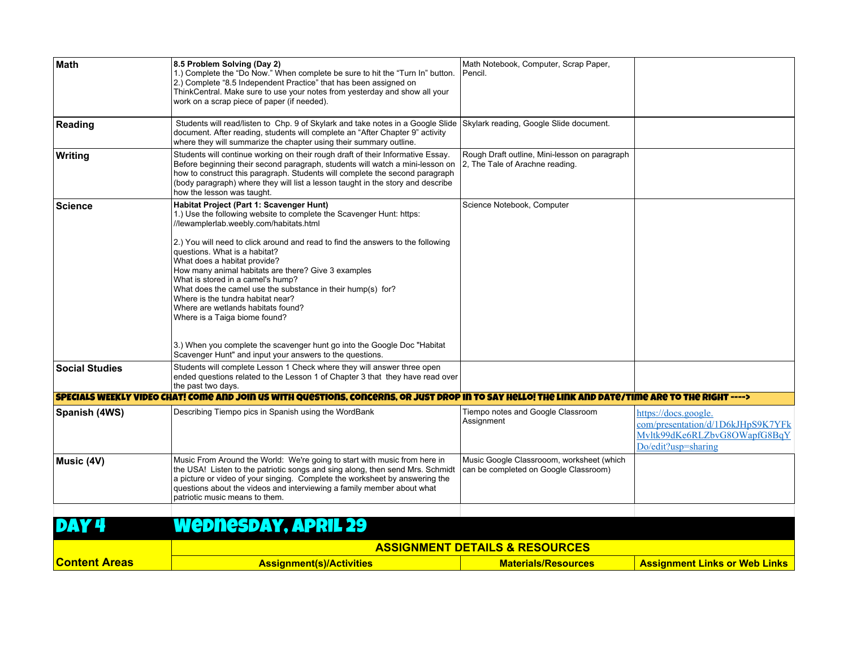| Math                  | 8.5 Problem Solving (Day 2)<br>1.) Complete the "Do Now." When complete be sure to hit the "Turn In" button.<br>2.) Complete "8.5 Independent Practice" that has been assigned on                                                                                                                                                                                 | Math Notebook, Computer, Scrap Paper,<br>Pencil.                                   |                                                     |
|-----------------------|-------------------------------------------------------------------------------------------------------------------------------------------------------------------------------------------------------------------------------------------------------------------------------------------------------------------------------------------------------------------|------------------------------------------------------------------------------------|-----------------------------------------------------|
|                       | ThinkCentral. Make sure to use your notes from yesterday and show all your<br>work on a scrap piece of paper (if needed).                                                                                                                                                                                                                                         |                                                                                    |                                                     |
| Reading               | Students will read/listen to Chp. 9 of Skylark and take notes in a Google Slide Skylark reading, Google Slide document.<br>document. After reading, students will complete an "After Chapter 9" activity<br>where they will summarize the chapter using their summary outline.                                                                                    |                                                                                    |                                                     |
| Writing               | Students will continue working on their rough draft of their Informative Essay.<br>Before beginning their second paragraph, students will watch a mini-lesson on<br>how to construct this paragraph. Students will complete the second paragraph<br>(body paragraph) where they will list a lesson taught in the story and describe<br>how the lesson was taught. | Rough Draft outline, Mini-lesson on paragraph<br>2, The Tale of Arachne reading.   |                                                     |
| <b>Science</b>        | Habitat Project (Part 1: Scavenger Hunt)<br>1.) Use the following website to complete the Scavenger Hunt: https:<br>//lewamplerlab.weebly.com/habitats.html                                                                                                                                                                                                       | Science Notebook, Computer                                                         |                                                     |
|                       | 2.) You will need to click around and read to find the answers to the following<br>questions. What is a habitat?<br>What does a habitat provide?<br>How many animal habitats are there? Give 3 examples                                                                                                                                                           |                                                                                    |                                                     |
|                       | What is stored in a camel's hump?<br>What does the camel use the substance in their hump(s) for?<br>Where is the tundra habitat near?                                                                                                                                                                                                                             |                                                                                    |                                                     |
|                       | Where are wetlands habitats found?<br>Where is a Taiga biome found?                                                                                                                                                                                                                                                                                               |                                                                                    |                                                     |
|                       | 3.) When you complete the scavenger hunt go into the Google Doc "Habitat"<br>Scavenger Hunt" and input your answers to the questions.                                                                                                                                                                                                                             |                                                                                    |                                                     |
| <b>Social Studies</b> | Students will complete Lesson 1 Check where they will answer three open<br>ended questions related to the Lesson 1 of Chapter 3 that they have read over<br>the past two days.                                                                                                                                                                                    |                                                                                    |                                                     |
|                       | SPECIALS WEEKLY VIDEO CHAT! COMO AND JOIN US WITH QUOSTIONS. CONCORNS. OR JUST DROP IN TO SAY HOLLO! THO LINK AND DATO/TIMO ARO TO THO RIGHT ---->                                                                                                                                                                                                                |                                                                                    |                                                     |
| Spanish (4WS)         | Describing Tiempo pics in Spanish using the WordBank                                                                                                                                                                                                                                                                                                              | Tiempo notes and Google Classroom                                                  | https://docs.google.                                |
|                       |                                                                                                                                                                                                                                                                                                                                                                   | Assignment                                                                         | com/presentation/d/1D6kJHpS9K7YFk                   |
|                       |                                                                                                                                                                                                                                                                                                                                                                   |                                                                                    | Mvltk99dKe6RLZbvG8OWapfG8BqY<br>Do/edit?usp=sharing |
| Music (4V)            | Music From Around the World: We're going to start with music from here in<br>the USA! Listen to the patriotic songs and sing along, then send Mrs. Schmidt<br>a picture or video of your singing. Complete the worksheet by answering the<br>questions about the videos and interviewing a family member about what<br>patriotic music means to them.             | Music Google Classrooom, worksheet (which<br>can be completed on Google Classroom) |                                                     |
|                       |                                                                                                                                                                                                                                                                                                                                                                   |                                                                                    |                                                     |
|                       | Wednesday, April 29                                                                                                                                                                                                                                                                                                                                               |                                                                                    |                                                     |
|                       | <b>ASSIGNMENT DETAILS &amp; RESOURCES</b>                                                                                                                                                                                                                                                                                                                         |                                                                                    |                                                     |
| <b>Content Areas</b>  | <b>Assignment(s)/Activities</b>                                                                                                                                                                                                                                                                                                                                   | <b>Materials/Resources</b>                                                         | <b>Assignment Links or Web Links</b>                |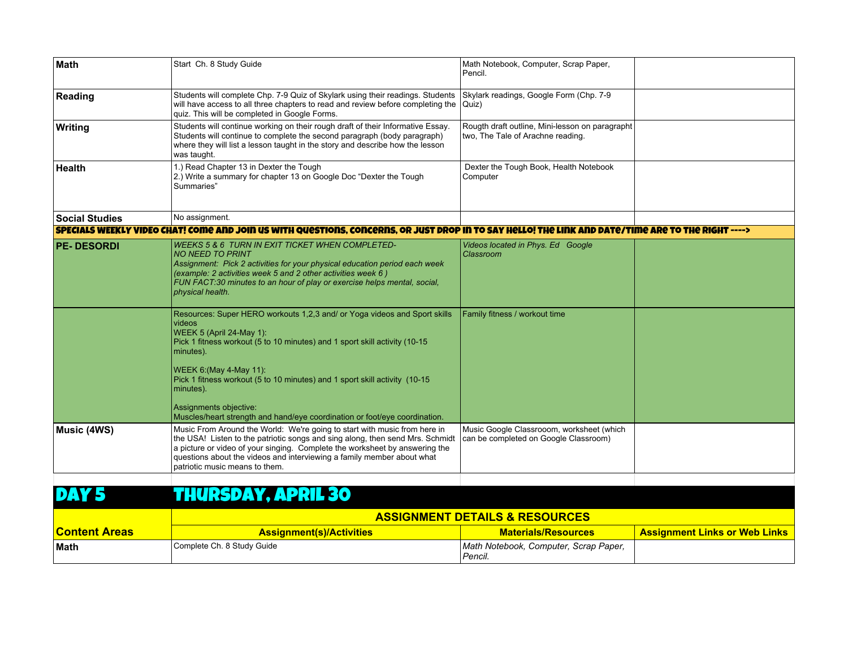| Math                  | Start Ch. 8 Study Guide                                                                                                                                                                                                                                                                                                                                                                                                                  | Math Notebook, Computer, Scrap Paper,<br>Pencil.                                     |  |
|-----------------------|------------------------------------------------------------------------------------------------------------------------------------------------------------------------------------------------------------------------------------------------------------------------------------------------------------------------------------------------------------------------------------------------------------------------------------------|--------------------------------------------------------------------------------------|--|
| Reading               | Students will complete Chp. 7-9 Quiz of Skylark using their readings. Students<br>will have access to all three chapters to read and review before completing the<br>quiz. This will be completed in Google Forms.                                                                                                                                                                                                                       | Skylark readings, Google Form (Chp. 7-9<br>Quiz)                                     |  |
| Writing               | Students will continue working on their rough draft of their Informative Essay.<br>Students will continue to complete the second paragraph (body paragraph)<br>where they will list a lesson taught in the story and describe how the lesson<br>was taught.                                                                                                                                                                              | Rougth draft outline, Mini-lesson on paragrapht<br>two. The Tale of Arachne reading. |  |
| <b>Health</b>         | 1.) Read Chapter 13 in Dexter the Tough<br>2.) Write a summary for chapter 13 on Google Doc "Dexter the Tough<br>Summaries"                                                                                                                                                                                                                                                                                                              | Dexter the Tough Book, Health Notebook<br>Computer                                   |  |
| <b>Social Studies</b> | No assignment.                                                                                                                                                                                                                                                                                                                                                                                                                           |                                                                                      |  |
|                       | SPECIALS WEEKLY VIDEO CHAT! COME AND JOIN US WITH QUESTIONS. CONCERNS. OR JUST DROP IN TO SAY HELLO! THE LINK AND DATE/TIME ARE TO THE RIGHT ---->                                                                                                                                                                                                                                                                                       |                                                                                      |  |
| <b>PE-DESORDI</b>     | <b>WEEKS 5 &amp; 6 TURN IN EXIT TICKET WHEN COMPLETED-</b><br><b>NO NEED TO PRINT</b><br>Assignment: Pick 2 activities for your physical education period each week<br>(example: 2 activities week 5 and 2 other activities week 6)<br>FUN FACT:30 minutes to an hour of play or exercise helps mental, social,<br>physical health.                                                                                                      | Videos located in Phys. Ed Google<br>Classroom                                       |  |
|                       | Resources: Super HERO workouts 1,2,3 and/ or Yoga videos and Sport skills<br>videos<br>WEEK 5 (April 24-May 1):<br>Pick 1 fitness workout (5 to 10 minutes) and 1 sport skill activity (10-15<br>minutes).<br>WEEK 6: (May 4-May 11):<br>Pick 1 fitness workout (5 to 10 minutes) and 1 sport skill activity (10-15<br>minutes).<br>Assignments objective:<br>Muscles/heart strength and hand/eye coordination or foot/eye coordination. | Family fitness / workout time                                                        |  |
| Music (4WS)           | Music From Around the World: We're going to start with music from here in<br>the USA! Listen to the patriotic songs and sing along, then send Mrs. Schmidt<br>a picture or video of your singing. Complete the worksheet by answering the<br>questions about the videos and interviewing a family member about what<br>patriotic music means to them.                                                                                    | Music Google Classrooom, worksheet (which<br>can be completed on Google Classroom)   |  |
|                       |                                                                                                                                                                                                                                                                                                                                                                                                                                          |                                                                                      |  |

## DAY 5 THURSDAY, APRIL 30

|                      | <b>ASSIGNMENT DETAILS &amp; RESOURCES</b> |                                                  |                                      |
|----------------------|-------------------------------------------|--------------------------------------------------|--------------------------------------|
| <b>Content Areas</b> | <b>Assignment(s)/Activities</b>           | <b>Materials/Resources</b>                       | <b>Assignment Links or Web Links</b> |
| <b>Math</b>          | Complete Ch. 8 Study Guide                | Math Notebook, Computer, Scrap Paper,<br>Pencil. |                                      |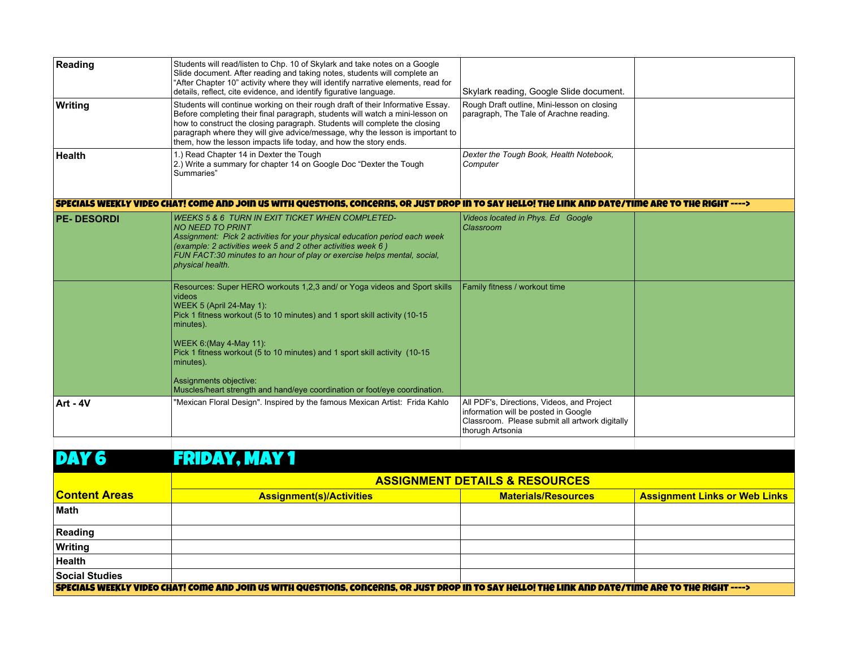| Reading           | Students will read/listen to Chp. 10 of Skylark and take notes on a Google<br>Slide document. After reading and taking notes, students will complete an<br>"After Chapter 10" activity where they will identify narrative elements, read for<br>details, reflect, cite evidence, and identify figurative language.                                                                                                                              | Skylark reading, Google Slide document.                                                                                                                  |  |
|-------------------|-------------------------------------------------------------------------------------------------------------------------------------------------------------------------------------------------------------------------------------------------------------------------------------------------------------------------------------------------------------------------------------------------------------------------------------------------|----------------------------------------------------------------------------------------------------------------------------------------------------------|--|
| Writing           | Students will continue working on their rough draft of their Informative Essay.<br>Before completing their final paragraph, students will watch a mini-lesson on<br>how to construct the closing paragraph. Students will complete the closing<br>paragraph where they will give advice/message, why the lesson is important to<br>them, how the lesson impacts life today, and how the story ends.                                             | Rough Draft outline, Mini-lesson on closing<br>paragraph, The Tale of Arachne reading.                                                                   |  |
| <b>Health</b>     | 1.) Read Chapter 14 in Dexter the Tough<br>2.) Write a summary for chapter 14 on Google Doc "Dexter the Tough<br>Summaries"                                                                                                                                                                                                                                                                                                                     | Dexter the Tough Book, Health Notebook,<br>Computer                                                                                                      |  |
|                   | SPECIALS WEEKLY VIDEO CHAT! COME AND JOIN US WITH QUESTIONS. CONCERNS. OR JUST DROP IN TO SAY HELLO! THE LINK AND DATE/TIME ARE TO THE RIGHT ---->                                                                                                                                                                                                                                                                                              |                                                                                                                                                          |  |
| <b>PE-DESORDI</b> | <b>WEEKS 5 &amp; 6 TURN IN EXIT TICKET WHEN COMPLETED-</b><br><b>NO NEED TO PRINT</b><br>Assignment: Pick 2 activities for your physical education period each week<br>(example: 2 activities week 5 and 2 other activities week 6)<br>FUN FACT:30 minutes to an hour of play or exercise helps mental, social,<br>physical health.                                                                                                             | Videos located in Phys. Ed Google<br>Classroom                                                                                                           |  |
|                   | Resources: Super HERO workouts 1,2,3 and/ or Yoga videos and Sport skills<br>videos<br>WEEK 5 (April 24-May 1):<br>Pick 1 fitness workout (5 to 10 minutes) and 1 sport skill activity (10-15<br>minutes).<br><b>WEEK 6: (May 4-May 11):</b><br>Pick 1 fitness workout (5 to 10 minutes) and 1 sport skill activity (10-15<br>minutes).<br>Assignments objective:<br>Muscles/heart strength and hand/eye coordination or foot/eye coordination. | Family fitness / workout time                                                                                                                            |  |
| Art - 4V          | "Mexican Floral Design". Inspired by the famous Mexican Artist: Frida Kahlo                                                                                                                                                                                                                                                                                                                                                                     | All PDF's, Directions, Videos, and Project<br>information will be posted in Google<br>Classroom. Please submit all artwork digitally<br>thorugh Artsonia |  |

## DAY 6 FRIDAY, MAY 1

|                                                                                                                                                    | <b>ASSIGNMENT DETAILS &amp; RESOURCES</b> |                            |                                      |
|----------------------------------------------------------------------------------------------------------------------------------------------------|-------------------------------------------|----------------------------|--------------------------------------|
| <b>Content Areas</b>                                                                                                                               | <b>Assignment(s)/Activities</b>           | <b>Materials/Resources</b> | <b>Assignment Links or Web Links</b> |
| <b>Math</b>                                                                                                                                        |                                           |                            |                                      |
| Reading                                                                                                                                            |                                           |                            |                                      |
| Writing                                                                                                                                            |                                           |                            |                                      |
| <b>Health</b>                                                                                                                                      |                                           |                            |                                      |
| Social Studies                                                                                                                                     |                                           |                            |                                      |
| SPECIALS WEEKLY VIDEO CHAT! COME AND JOIN US WITH QUESTIONS, CONCERNS, OR JUST DROP IN TO SAY HELLO! THE LINK AND DATE/TIME ARE TO THE RIGHT ----> |                                           |                            |                                      |